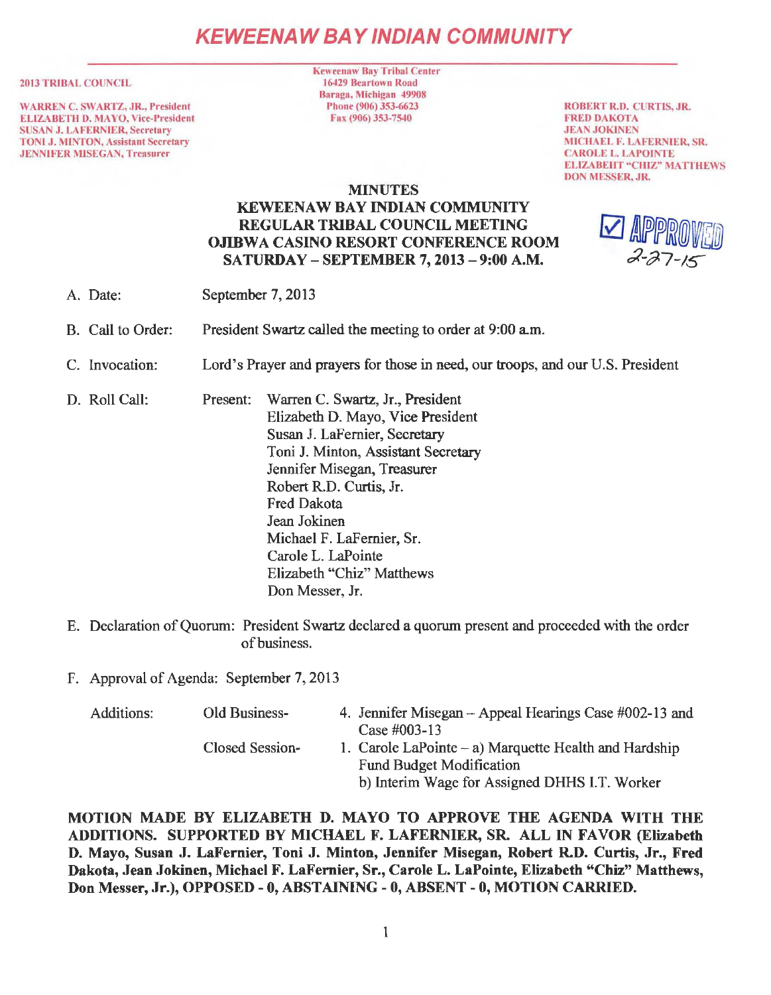# **KEWEENAW BAY IND/AN COMMUNITY**

#### 2013 TRIBAL COUNCIL

WARREN C. SWARTZ. JR., President ELIZABETH D. MA YO, Vice-President SUSAN J. LAFERNIER, Secretary TONI J. MINTON, Assistant Secretary JENNIFER MJSEGAN, Treasurer

Keweenaw Bay Tribal Center 16429 Beartown Road Baraga, Michigan 49908 Phone (906) 353-6623 Fax (906) 353-7540

ROBERT R.D. CURTIS, JR. FRED DAKOTA JEAN JOKINEN MICHAEL F. LAFERNIER, SR. CAROLE L. LAPOINTE ELIZABEHT "CHIZ" MATTHEWS DON MESSER, JR.

### MINUTES KEWEENAW BAY INDIAN COMMUNITY REGULAR TRIBAL COUNCIL MEETING OJIBWA CASINO RESORT CONFERENCE ROOM SATURDAY - SEPTEMBER 7, 2013-9:00 A.M.

- A. Date: September 7, 2013
- B. Call to Order: President Swartz called the meeting to order at 9:00 a.m.
- C. Invocation: Lord's Prayer and prayers for those in need, our troops, and our U.S. President
- D. Roll Call: Present: Warren C. Swartz, Jr., President Elizabeth D. Mayo, Vice President Susan J. LaFernier, Secretary Toni J. Minton, Assistant Secretary Jennifer Misegan, Treasurer Robert R.D. Curtis, Jr. Fred Dakota Jean Jokinen Michael F. LaFernier, Sr. Carole L. LaPointe Elizabeth "Chiz" Matthews Don Messer, Jr.
- E. Declaration of Quorum: President Swartz declared a quorum present and proceeded with the order of business.
- F. Approval of Agenda: September 7, 2013

| Additions: | Old Business-   | 4. Jennifer Misegan – Appeal Hearings Case #002-13 and<br>Case $\#003-13$                                                                   |
|------------|-----------------|---------------------------------------------------------------------------------------------------------------------------------------------|
|            | Closed Session- | 1. Carole LaPointe $-$ a) Marquette Health and Hardship<br><b>Fund Budget Modification</b><br>b) Interim Wage for Assigned DHHS I.T. Worker |

MOTION MADE BY ELIZABETH D. MAYO TO APPROVE THE AGENDA WITH THE ADDITIONS. SUPPORTED BY MICHAEL F. LAFERNIER, SR. ALL IN FAVOR (Elizabeth D. Mayo, Susan J. LaFernier, Toni J. Minton, Jennifer Misegan, Robert R.D. Curtis, Jr., Fred Dakota, Jean Jokinen, Michael F. LaFernier, Sr., Carole L. LaPointe, Elizabeth "Chiz" Matthews, Don Messer, Jr.), OPPOSED - O, ABSTAINING - 0, ABSENT - 0, MOTION CARRIED.

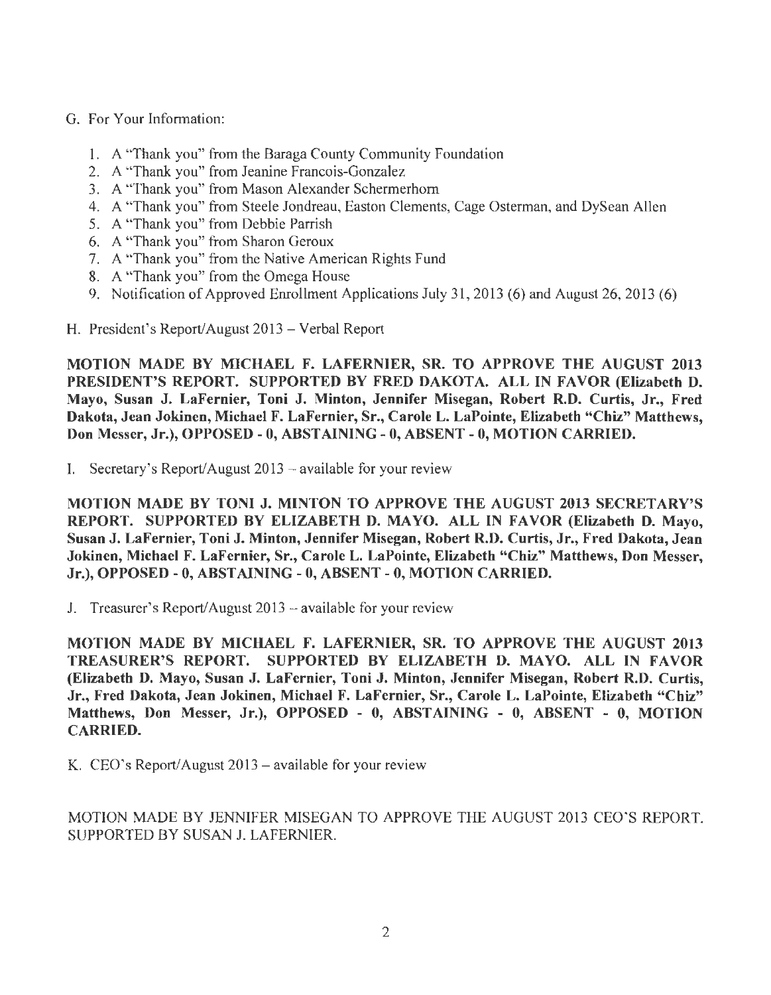- G. For Your Information:
	- 1. A "Thank you" from the Baraga County Community Foundation
	- 2. A "Thank you" from Jeanine Francois-Gonzalez
	- 3. A "Thank you" from Mason Alexander Schermerhorn
	- 4. A "Thank you" from Steele Jondreau, Easton Clements, Cage Osterman, and DySean Allen
	- 5. A "Thank you" from Debbie Parrish
	- 6. A "Thank you" from Sharon Geroux
	- 7. A "Thank you" from the Native American Rights Fund
	- 8. A "Thank you" from the Omega House
	- 9. Notification of Approved Enrollment Applications July 31, 2013 (6) and August 26, 2013 (6)
- H. President's Report/August 2013 Verbal Report

MOTION MADE BY MICHAEL F. LAFERNIER, SR. TO APPROVE THE AUGUST 2013 PRESIDENT'S REPORT. SUPPORTED BY FRED DAKOTA. ALL IN FAVOR (Elizabeth D. Mayo, Susan J. LaFernier, Toni J. Minton, Jennifer Misegan, Robert R.D. Curtis, Jr., Fred Dakota, Jean Jokinen, Michael F. LaFernier, Sr., Carole L. LaPointe, Elizabeth "Chiz" Matthews, Don Messer, Jr.), OPPOSED-0, ABSTAINING-0, ABSENT- O, MOTION CARRIED.

I. Secretary's Report/August  $2013$  – available for your review

MOTION MADE BY TONI J. MINTON TO APPROVE THE AUGUST 2013 SECRETARY'S REPORT. SUPPORTED BY ELIZABETH D. MAYO. ALL IN FAVOR (Elizabeth D. Mayo, Susan J. LaFernier, Toni J. Minton, Jennifer Misegan, Robert R.D. Curtis, Jr., Fred Dakota, Jean Jokinen, Michael F. LaFernier, Sr., Carole L. LaPointe, Elizabeth "Chiz" Matthews, Don Messer, Jr.), OPPOSED - 0, ABSTAINING - 0, ABSENT - 0, MOTION CARRIED.

J. Treasurer's Report/August 2013 - available for your review

MOTION MADE BY MICHAEL F. LAFERNIER, SR. TO APPROVE THE AUGUST 2013 TREASURER'S REPORT. SUPPORTED BY ELIZABETH D. MAYO. ALL IN FAVOR (Elizabeth D. Mayo, Susan J. LaFernier, Toni J. Minton, Jennifer Misegan, Robert R.D. Curtis, Jr., Fred Dakota, Jean Jokinen, Michael F. LaFernier, Sr., Carole L. LaPointe, Elizabeth "Chiz" Matthews, Don Messer, Jr.), OPPOSED - 0, ABSTAINING - 0, ABSENT - 0, MOTION CARRIED.

K. CEO's Report/August  $2013 -$  available for your review

MOTION MADE BY JENNIFER MISEGAN TO APPROVE THE AUGUST 2013 CEO'S REPORT. SUPPORTED BY SUSAN J. LAFERNIER.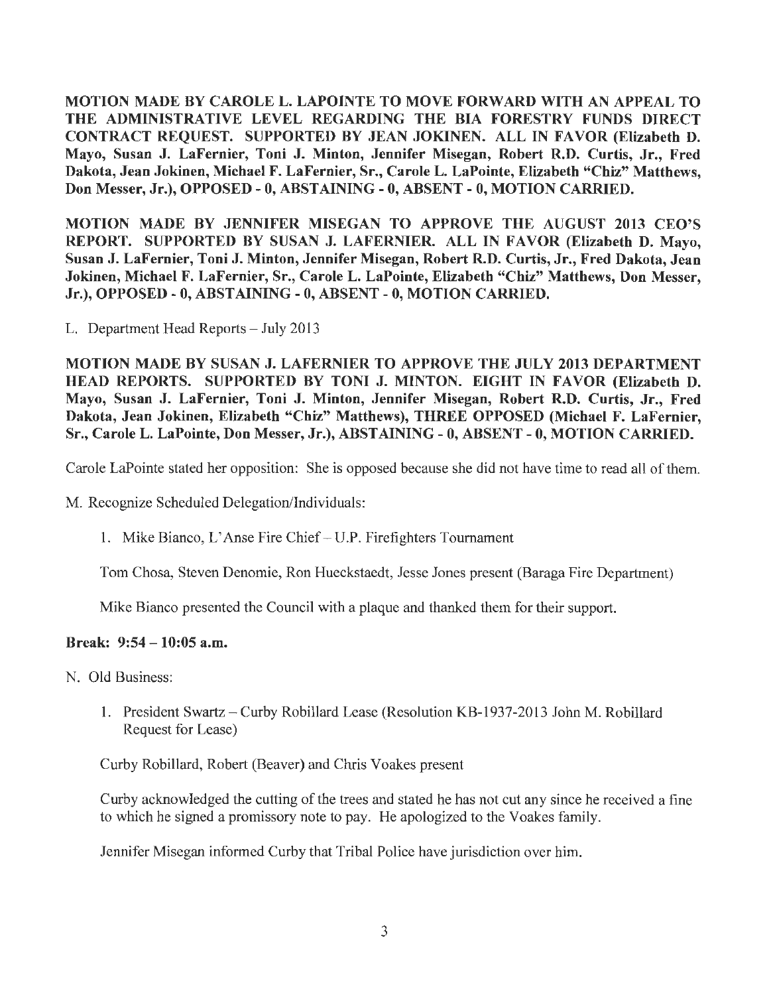MOTION MADE BY CAROLE L. LAPOINTE TO MOVE FORWARD WITH AN APPEAL TO THE ADMINISTRATIVE LEVEL REGARDING THE BIA FORESTRY FUNDS DIRECT CONTRACT REQUEST. SUPPORTED BY JEAN JOKINEN. ALL IN FAVOR (Elizabeth D. Mayo, Susan J. LaFernier, Toni J. Minton, Jennifer Misegan, Robert R.D. Curtis, Jr., Fred Dakota, Jean Jokinen, Michael F. LaFernier, Sr., Carole L. LaPointe, Elizabeth "Chiz" Matthews, Don Messer, Jr.), OPPOSED-0, ABSTAINING-0, ABSENT-0, MOTION CARRIED.

MOTION MADE BY JENNIFER MISEGAN TO APPROVE THE AUGUST 2013 CEO'S REPORT. SUPPORTED BY SUSAN J. LAFERNIER. ALL IN FAVOR (Elizabeth D. Mayo, Susan J. LaFernier, Toni J. Minton, Jennifer Misegan, Robert R.D. Curtis, Jr., Fred Dakota, Jean Jokinen, Michael F. LaFernier, Sr., Carole L. LaPointe, Elizabeth "Chiz" Matthews, Don Messer, Jr.), OPPOSED - 0, ABSTAINING - 0, ABSENT - 0, MOTION CARRIED.

L. Department Head Reports - July 2013

MOTION MADE BY SUSAN J. LAFERNIER TO APPROVE THE JULY 2013 DEPARTMENT HEAD REPORTS. SUPPORTED BY TONI J. MINTON. EIGHT IN FAVOR (Elizabeth D. Mayo, Susan J. LaFernier, Toni J. Minton, Jennifer Misegan, Robert R.D. Curtis, Jr., Fred Dakota, Jean Jokinen, Elizabeth "Chiz" Matthews), THREE OPPOSED (Michael F. LaFernier, Sr., Carole L. LaPointe, Don Messer, Jr.), ABSTAINING- 0, ABSENT- 0, MOTION CARRIED.

Carole LaPointe stated her opposition: She is opposed because she did not have time to read all of them.

M. Recognize Scheduled Delegation/Individuals:

1. Mike Bianco, L'Anse Fire Chief - U.P. Firefighters Tournament

Tom Chosa, Steven Denomie, Ron Hueckstaedt, Jesse Jones present (Baraga Fire Department)

Mike Bianco presented the Council with a plaque and thanked them for their support.

### Break: 9:54-10:05 a.m.

- N. Old Business:
	- 1. President Swartz Curby Robillard Lease (Resolution KB-1937-2013 John M. Robillard Request for Lease)

Curby Robillard, Robert (Beaver) and Chris Voakes present

Curby acknowledged the cutting of the trees and stated he has not cut any since he received a fine to which he signed a promissory note to pay. He apologized to the Voakes family.

Jennifer Misegan informed Curby that Tribal Police have jurisdiction over him.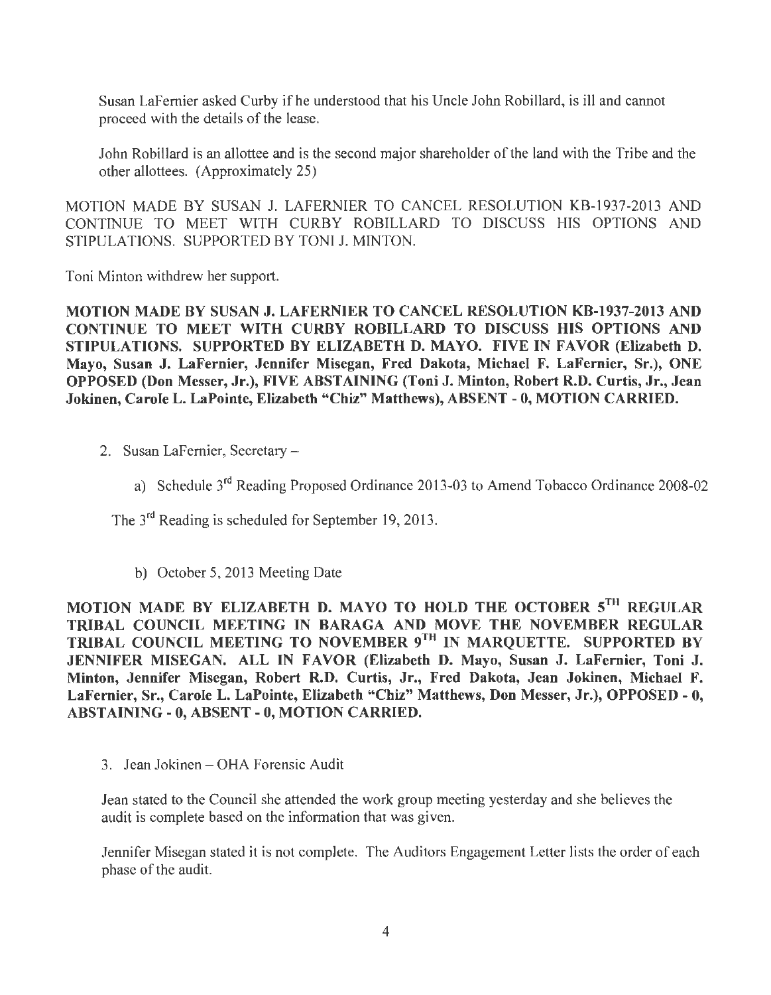Susan LaFernier asked Curby if he understood that his Uncle John Robillard, is ill and cannot proceed with the details of the lease.

John Robillard is an allottee and is the second major shareholder of the land with the Tribe and the other allottees. (Approximately 25)

MOTION MADE BY SUSAN J. LAFERNIER TO CANCEL RESOLUTION KB-1937-2013 AND CONTINUE TO MEET WITH CURBY ROBILLARD TO DISCUSS HIS OPTIONS AND STIPULATIONS. SUPPORTED BY TONI J. MINTON.

Toni Minton withdrew her support.

MOTION MADE BY SUSAN J. LAFERNIER TO CANCEL RESOLUTION KB-1937-2013 AND CONTINUE TO MEET WITH CURBY ROBILLARD TO DISCUSS HIS OPTIONS AND STIPULATIONS. SUPPORTED BY ELIZABETH D. MAYO. FIVE IN FAVOR (Elizabeth D. Mayo, Susan J. LaFernier, Jennifer Misegan, Fred Dakota, Michael F. LaFernier, Sr.), ONE OPPOSED (Don Messer, Jr.), FIVE ABSTAINING (Toni J. Minton, Robert R.D. Curtis, Jr., Jean Jokinen, Carole L. LaPointe, Elizabeth "Chiz" Matthews), ABSENT - 0, MOTION CARRIED.

- 2. Susan LaFemier, Secretary
	- a) Schedule 3rd Reading Proposed Ordinance 2013-03 to Amend Tobacco Ordinance 2008-02

The 3rd Reading is scheduled for September 19, 2013.

b) October 5, 2013 Meeting Date

MOTION MADE BY ELIZABETH D. MAYO TO HOLD THE OCTOBER 5TH REGULAR TRIBAL COUNCIL MEETING IN BARAGA AND MOVE THE NOVEMBER REGULAR TRIBAL COUNCIL MEETING TO NOVEMBER 9TH IN MARQUETTE. SUPPORTED BY JENNIFER MISEGAN. ALL IN FAVOR (Elizabeth D. Mayo, Susan J. LaFernier, Toni J. Minton, Jennifer Misegan, Robert R.D. Curtis, Jr., Fred Dakota, Jean Jokinen, Michael F. LaFernier, Sr., Carole L. LaPointe, Elizabeth "Chiz" Matthews, Don Messer, Jr.), OPPOSED - O, ABSTAINING - O, ABSENT - 0, MOTION CARRIED.

3. Jean Jokinen – OHA Forensic Audit

Jean stated to the Council she attended the work group meeting yesterday and she believes the audit is complete based on the information that was given.

Jennifer Misegan stated it is not complete. The Auditors Engagement Letter lists the order of each phase of the audit.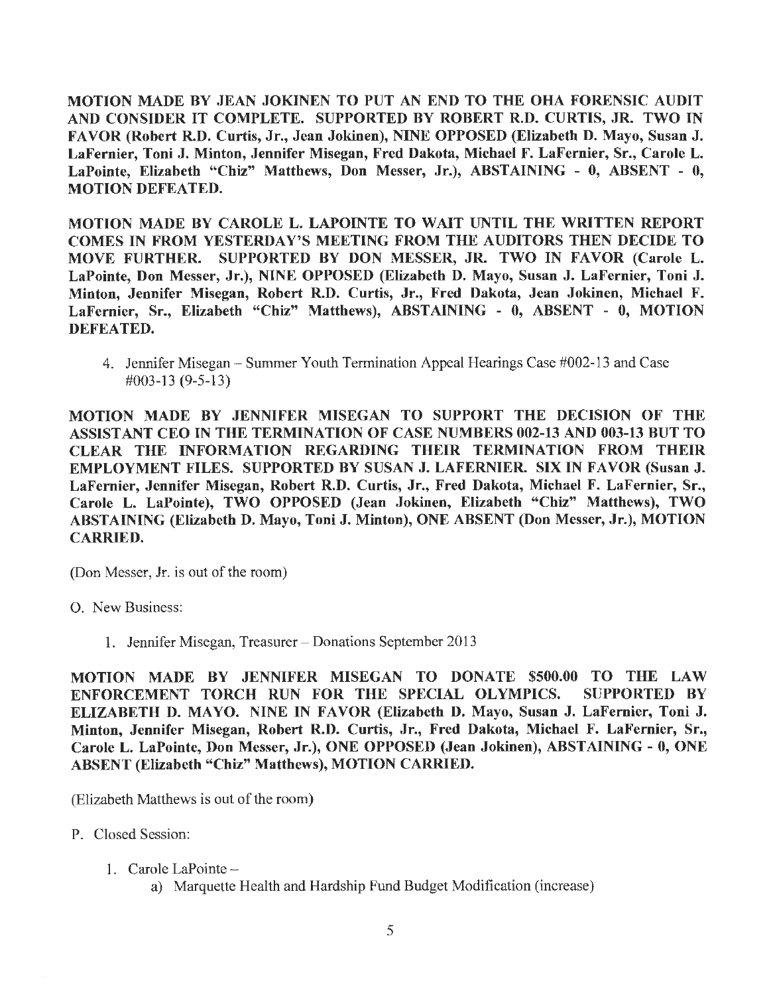MOTION MADE BY JEAN JOKINEN TO PUT AN END TO THE OHA FORENSIC AUDIT AND CONSIDER IT COMPLETE. SUPPORTED BY ROBERT R.D. CURTIS, JR. TWO IN FAVOR (Robert R.D. Curtis, Jr., Jean Jokinen), NINE OPPOSED (Elizabeth D. Mayo, Susan J. LaFernier, Toni J. Minton, Jennifer Misegan, Fred Dakota, Michael F. LaFernier, Sr., Carole L. LaPointe, Elizabeth "Chiz" Matthews, Don Messer, Jr.), ABSTAINING - 0, ABSENT - O, MOTION DEFEATED.

MOTION MADE BY CAROLE L. LAPOINTE TO WAIT UNTIL THE WRITTEN REPORT COMES IN FROM YESTERDAY'S MEETING FROM THE AUDITORS THEN DECIDE TO MOVE FURTHER. SUPPORTED BY DON MESSER, JR. TWO IN FAVOR (Carole L. LaPointe, Don Messer, Jr.), NINE OPPOSED (Elizabeth D. Mayo, Susan J. LaFernier, Toni J. Minton, Jennifer Misegan, Robert R.D. Curtis, Jr., Fred Dakota, Jean Jokinen, Michael F. LaFernier, Sr., Elizabeth "Chiz" Matthews), ABSTAINING - 0, ABSENT - 0, MOTION DEFEATED.

4. Jennifer Misegan - Summer Youth Termination Appeal Hearings Case #002-13 and Case #003-13 (9-5-13)

MOTION MADE BY JENNIFER MISEGAN TO SUPPORT THE DECISION OF THE ASSISTANT CEO IN THE TERMINATION OF CASE NUMBERS 002-13 AND 003-13 BUT TO CLEAR THE INFORMATION REGARDING THEIR TERMINATION FROM THEIR EMPLOYMENT FILES. SUPPORTED BY SUSAN J. LAFERNIER. SIX IN FAVOR (Susan J. LaFernier, Jennifer Misegan, Robert R.D. Curtis, Jr., Fred Dakota, Michael F. LaFernier, Sr., Carole L. LaPointe), TWO OPPOSED (Jean Jokinen, Elizabeth "Chiz" Matthews), TWO ABSTAINING (Elizabeth D. Mayo, Toni J. Minton), ONE ABSENT (Don Messer, Jr.), MOTION CARRIED.

(Don Messer, Jr. is out of the room)

0. New Business:

1. Jennifer Misegan, Treasurer - Donations September 2013

MOTION MADE BY JENNIFER MISEGAN TO DONATE \$500.00 TO THE LAW ENFORCEMENT TORCH RUN FOR THE SPECIAL OLYMPICS. SUPPORTED BY ELIZABETH D. MAYO. NINE IN FAVOR (Elizabeth D. Mayo, Susan J. LaFernier, Toni J. Minton, Jennifer Misegan, Robert R.D. Curtis, Jr., Fred Dakota, Michael F. LaFernier, Sr., Carole L. LaPointe, Don Messer, Jr.), ONE OPPOSED (Jean Jokinen), ABSTAINING - O, ONE ABSENT (Elizabeth "Chiz" Matthews), MOTION CARRIED.

(Elizabeth Matthews is out of the room)

P. Closed Session:

1. Carole LaPointe -

a) Marquette Health and Hardship Fund Budget Modification (increase)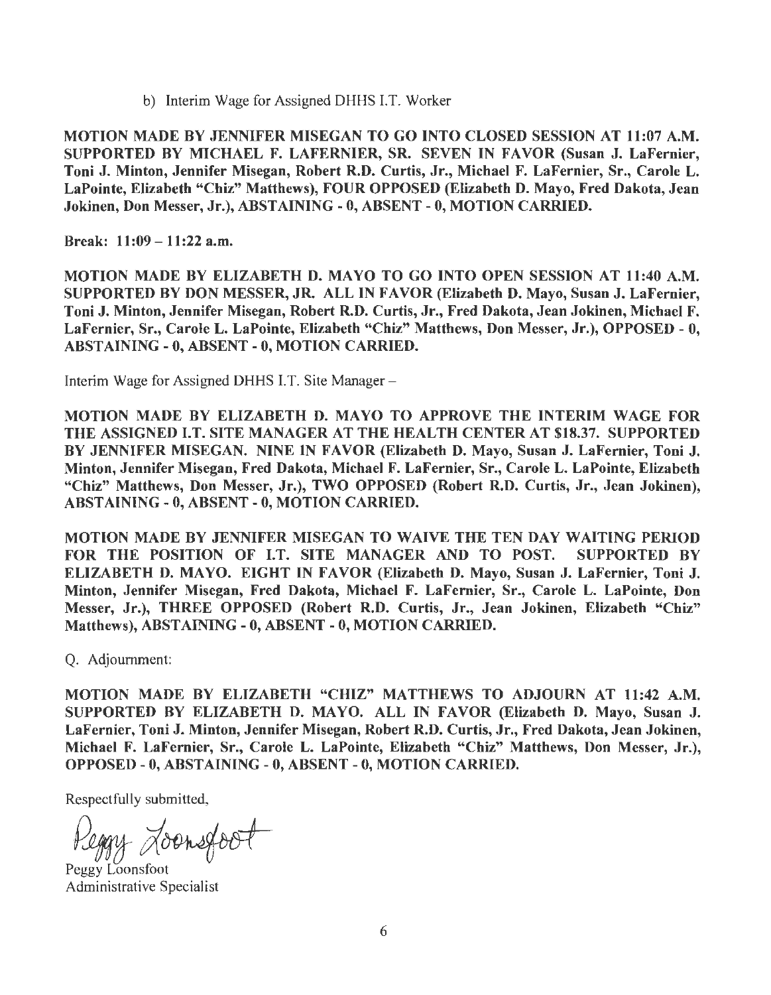b) Interim Wage for Assigned DHHS LT. Worker

MOTION MADE BY JENNIFER MISEGAN TO GO INTO CLOSED SESSION AT 11:07 A.M. SUPPORTED BY MICHAEL F. LAFERNIER, SR. SEVEN IN FAVOR (Susan J. LaFernier, Toni J. Minton, Jennifer Misegan, Robert R.D. Curtis, Jr., Michael F. LaFernier, Sr., Carole L. LaPointe, Elizabeth "Chiz" Matthews), FOUR OPPOSED (Elizabeth D. Mayo, Fred Dakota, Jean Jokinen, Don Messer, Jr.), ABSTAINING - 0, ABSENT- 0, MOTION CARRIED.

Break: 11:09-11:22 a.m.

MOTION MADE BY ELIZABETH D. MA YO TO GO INTO OPEN SESSION AT 11:40 A.M. SUPPORTED BY DON MESSER, JR. ALL IN FAVOR (Elizabeth D. Mayo, Susan J. LaFernier, Toni J. Minton, Jennifer Misegan, Robert R.D. Curtis, Jr., Fred Dakota, Jean Jokinen, Michael F. LaFernier, Sr., Carole L. LaPointe, Elizabeth "Chiz" Matthews, Don Messer, Jr.), OPPOSED - 0, ABSTAINING-0, ABSENT-0, MOTION CARRIED.

Interim Wage for Assigned DHHS I.T. Site Manager -

MOTION MADE BY ELIZABETH D. MA YO TO APPROVE THE INTERIM WAGE FOR THE ASSIGNED I.T. SITE MANAGER AT THE HEALTH CENTER AT \$18.37. SUPPORTED BY JENNIFER MISEGAN. NINE IN FAVOR (Elizabeth D. Mayo, Susan J. LaFernier, Toni J. Minton, Jennifer Misegan, Fred Dakota, Michael F. LaFernier, Sr., Carole L. LaPointe, Elizabeth "Chiz" Matthews, Don Messer, Jr.), TWO OPPOSED (Robert R.D. Curtis, Jr., Jean Jokinen), ABSTAINING - 0, ABSENT - 0, MOTION CARRIED.

MOTION MADE BY JENNIFER MISEGAN TO WAIVE THE TEN DAY WAITING PERIOD FOR THE POSITION OF I.T. SITE MANAGER AND TO POST. SUPPORTED BY ELIZABETH D. MA YO. EIGHT IN FAVOR (Elizabeth D. Mayo, Susan J. LaFernier, Toni J. Minton, Jennifer Misegan, Fred Dakota, Michael F. LaFernier, Sr., Carole L. LaPointe, Don Messer, Jr.), THREE OPPOSED (Robert R.D. Curtis, Jr., Jean Jokinen, Elizabeth "Chiz" Matthews), ABSTAINING - O, ABSENT - O, MOTION CARRIED.

Q. Adjournment:

MOTION MADE BY ELIZABETH "CHIZ" MATTHEWS TO ADJOURN AT 11:42 A.M. SUPPORTED BY ELIZABETH D. MA YO. ALL IN FAVOR (Elizabeth D. Mayo, Susan J. LaFernier, Toni J. Minton, Jennifer Misegan, Robert R.D. Curtis, Jr., Fred Dakota, Jean Jokinen, Michael F. LaFernier, Sr., Carole L. LaPointe, Elizabeth "Chiz" Matthews, Don Messer, Jr.), OPPOSED - 0, ABSTAINING - 0, ABSENT - 0, MOTION CARRIED.

Respectfully submitted,

Reggy Loonsfoot

Peggy Loonsfoot Administrative Specialist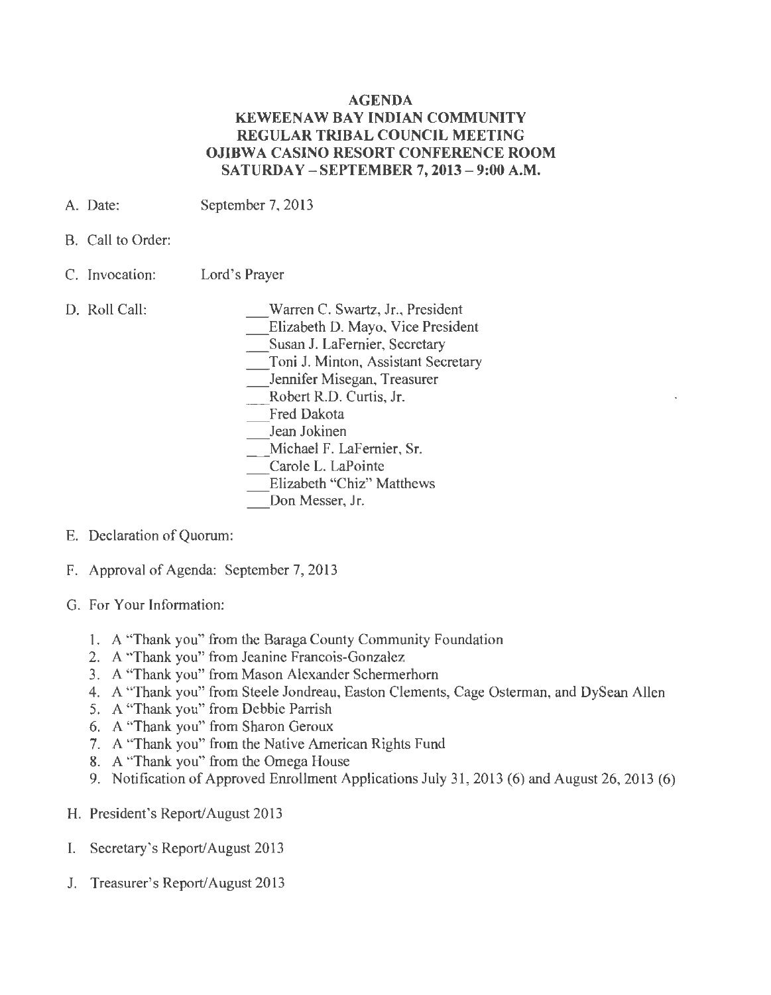### **AGENDA KEWEENAW BAY INDIAN COMMUNITY REGULAR TRIBAL COUNCIL MEETING OJIBWA CASINO RESORT CONFERENCE ROOM SATURDAY - SEPTEMBER 7, 2013- 9:00 A.M.**

- A. Date: September 7, 2013
- B. Call to Order:
- C. Invocation: Lord's Prayer
- D. Roll Call:

\_Warren C. Swartz, Jr., President \_Elizabeth D. Mayo, Vice President Susan J. LaFernier, Secretary \_Toni J. Minton, Assistant Secretary \_Jennifer Misegan, Treasurer Robert R.D. Curtis, Jr. Fred Dakota Jean Jokinen \_ Michael F. LaFernier, Sr. Carole L. LaPointe Elizabeth "Chiz" Matthews Don Messer, Jr.

- E. Declaration of Quorum:
- F. Approval of Agenda: September 7, 2013
- G. For Your Information:
	- 1. A "Thank you" from the Baraga County Community Foundation
	- 2. A "Thank you" from Jeanine Francois-Gonzalez
	- 3. A "Thank you" from Mason Alexander Schermerhorn
	- 4. A "Thank you" from Steele Jondreau, Easton Clements, Cage Osterman, and DySean Allen
	- 5. A "Thank you" from Debbie Parrish
	- 6. A "Thank you" from Sharon Geroux
	- 7. A "Thank you" from the Native American Rights Fund
	- 8. A "Thank you" from the Omega House
	- 9. Notification of Approved Enrollment Applications July 31, 2013 (6) and August 26, 2013 (6)
- H. President's Report/August 2013
- I. Secretary's Report/August 2013
- J. Treasurer's Report/August 2013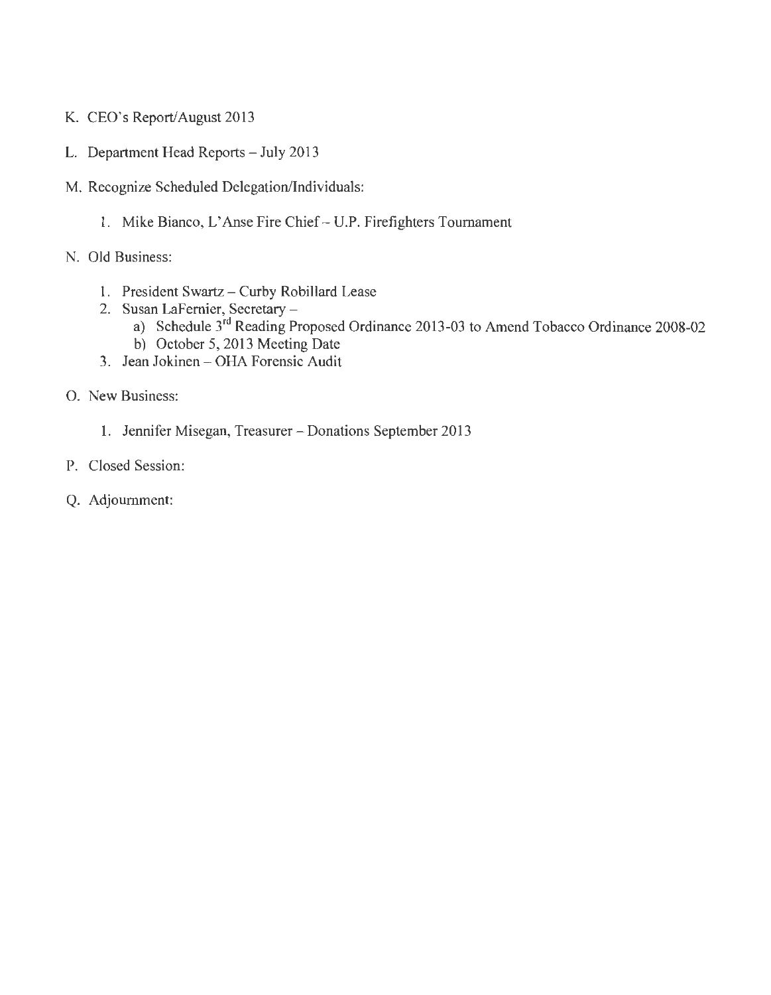- K. CEO's Report/August 2013
- L. Department Head Reports July 2013
- M. Recognize Scheduled Delegation/Individuals:
	- 1. Mike Bianco, L'Anse Fire Chief- U.P. Firefighters Tournament
- N. Old Business:
	- 1. President Swartz Curby Robillard Lease
	- 2. Susan LaFernier, Secretary
		- a) Schedule 3rd Reading Proposed Ordinance 2013-03 to Amend Tobacco Ordinance 2008-02
		- b) October 5, 2013 Meeting Date
	- 3. Jean Jokinen OHA Forensic Audit
- 0 . New Business:
	- 1. Jennifer Misegan, Treasurer- Donations September 2013
- P. Closed Session:
- Q. Adjournment: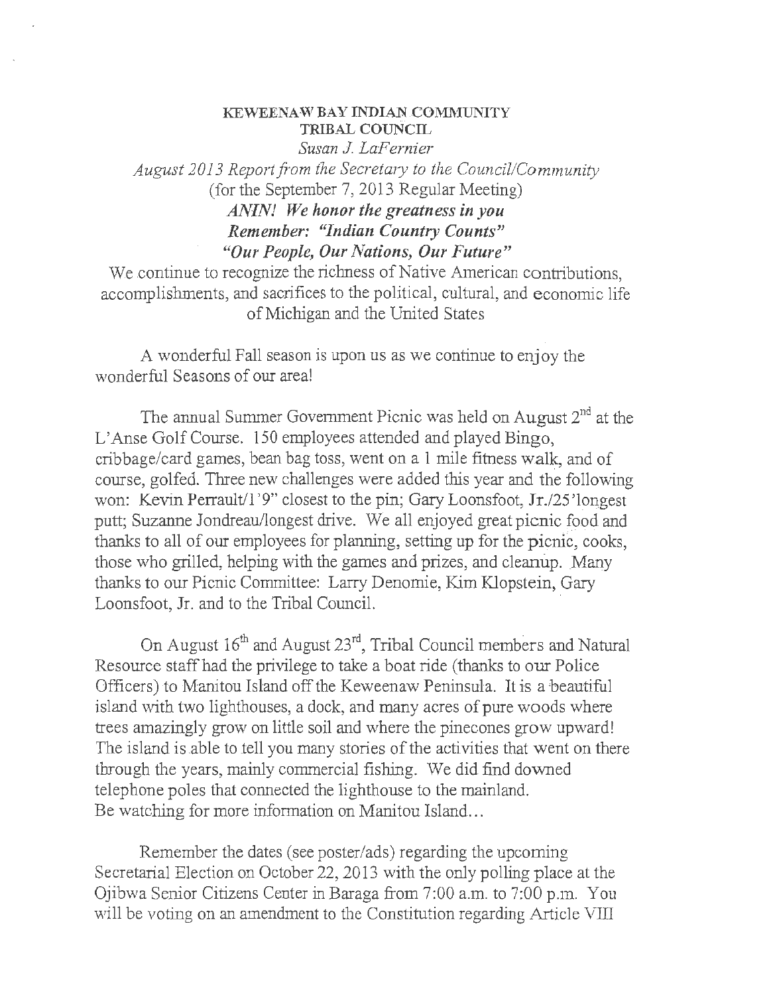### KEWEENAW BAY INDIAN COMMUNITY TRIBAL COUNCIL

*Susan J. LaFernier August 2013 Report from the Secretary to the Council/Community*  (for the September 7, 2013 Regular Meeting) *ANIN! We honor the greatness in you Remember: "Indian Country Counts" "Our People, Our Nations, Our Future"* 

We continue to recognize the richness of Native American contributions. accomplishments, and sacrifices to the political, cultural, and economic life of Michigan and the United States

A wonderful Fall season is upon us as we continue to enjoy the wonderful Seasons of our area!

The annual Summer Government Picnic was held on August  $2<sup>nd</sup>$  at the L'Anse Golf Course. 150 employees attended and played Bingo, cribbage/card games, bean bag toss, went on a 1 mile fitness walk, and of course, golfed. Three new challenges were added this year and the following won: Kevin Perrault/l'9" closest to the pin; Gary Loonsfoot, Jr./25'longest putt: Suzanne Jondreau/longest drive. We all enjoyed great picnic food and thanks to all of our employees for planning, setting up for the picnic, cooks, those who grilled, helping with the games and prizes, and cleanup. Many thanks to our Picnic Committee: Larry Denornie, Kim Klopstein, Gary Loonsfoot, Jr. and to the Tribal Council.

On August  $16<sup>th</sup>$  and August  $23<sup>rd</sup>$ , Tribal Council members and Natural Resource staff had the privilege to take a boat ride (thanks to our Police Officers) to Manitou Island off the Keweenaw Peninsula. It is a beautiful island with two lighthouses, a dock, and many acres of pure woods where trees amazingly grow on little soil and where the pinecones grow upward! The island is.able to tell you many stories of the activities that went on there through the years, mainly commercial fishing. We did find downed telephone poles that connected the lighthouse to the mainland. Be watching for more information on Manitou Island...

Remember the dates (see poster/ads) regarding the upcoming Secretarial Election on October 22, 2013 with the only polling place at the Ojibwa Senior Citizens Center in Baraga from 7:00 a.m. to 7:00 p.m. You will be voting on an amendment to the Constitution regarding Article VIlI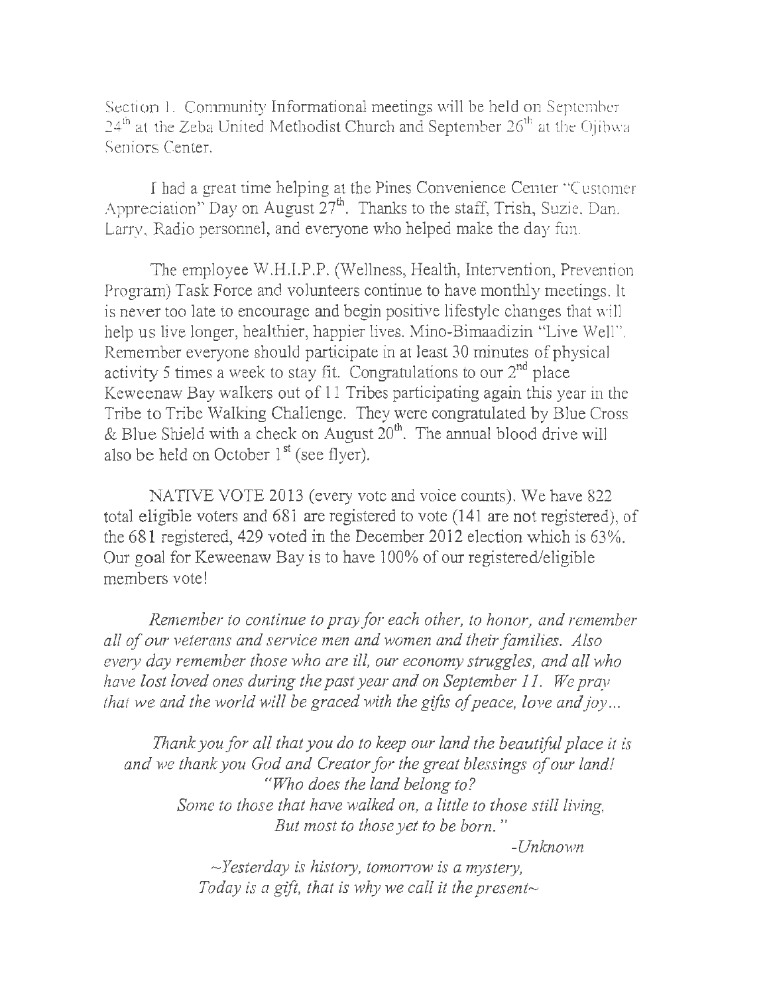Section 1. Community Informational meetings will be held on September  $24^{\text{th}}$  at the Zeba United Methodist Church and September  $26^{\text{th}}$  at the Ojibwa. Seniors Center.

I had a great time helping at the Pines Convenience Center "Customer Appreciation" Day on August  $27<sup>th</sup>$ . Thanks to the staff, Trish, Suzie, Dan, Larry, Radio personnel, and everyone who helped make the day fun.

The employee W.H.I.P.P. (Wellness, Health, Intervention, Prevention Program) Task Force and volunteers continue to have monthly meetings. It is never too late to encourage and begin positive lifestyle changes that will help us live longer, healthier, happier lives. Mino-Bimaadizin "Live Well". Remember everyone should participate in at least 30 minutes of physical activity 5 times a week to stay fit. Congratulations to our  $2<sup>nd</sup>$  place Keweenaw Bay walkers out of 11 Tribes participating again this year in the Tribe to Tribe Walking Challenge. They were congratulated by Blue Cross & Blue Shield with a check on August  $20<sup>th</sup>$ . The annual blood drive will also be held on October 1<sup>st</sup> (see flyer).

NATIVE VOTE 2013 (every vote and voice counts). We have 822 total eligible voters and 681 are registered to vote (141 are not registered), of the 681 registered, 429 voted in the December 2012 election which is 63%. Our goal for Keweenaw Bay is to have 100% of our registered/eligible members vote!

*Remember to continue to pray for each other, to honor, and remember all of our veterans and service men and women and their families. Also eve1y day remember those who are ill, our economy struggles, and all who have lost loved ones during the past year and on September 11. We pray that we and the world will be graced with the gifts of peace, love and joy ...* 

*Thank you for all that you do to keep our land the beautiful place it is and we thank you God and Creator for the great blessings of our land! "Who does the land belong to? Some to those that have walked on, a little to those still living, But most to those yet to be born.* " *-Unknown* 

> $\sim$ *Yesterday is history, tomorrow is a mystery, Today is a gift, that is why we call it the present* $\sim$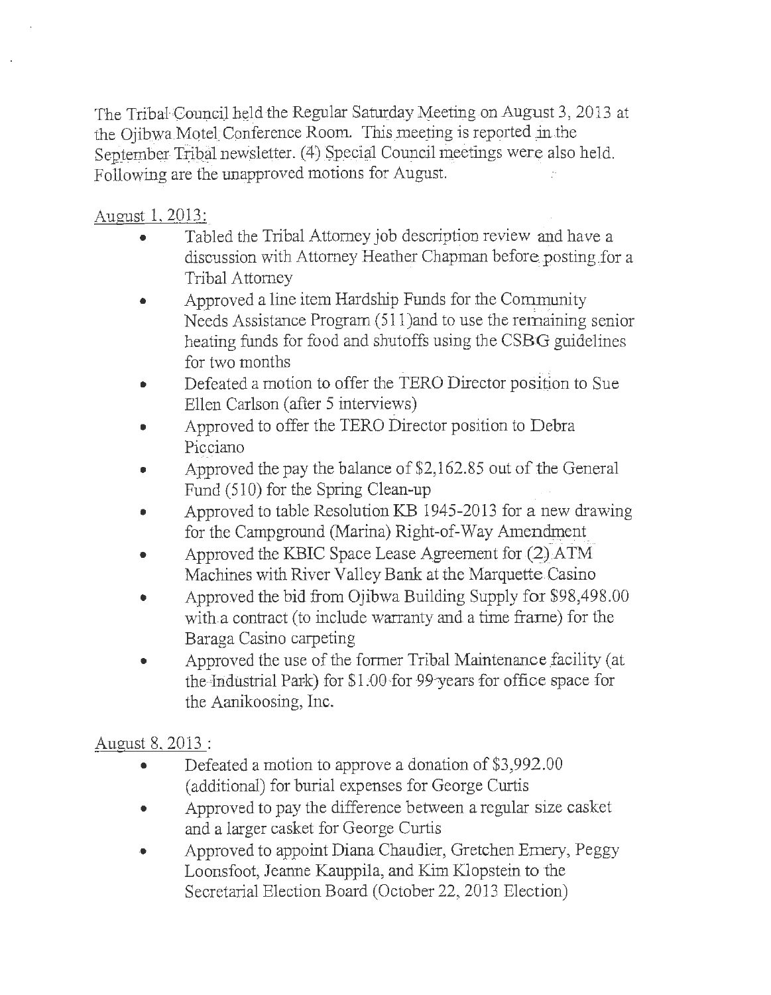The Tribal Council held the Regular Saturday Meeting on August 3, 2013 at the Ojibwa Motel:Conference Room. This meeting is reported in the September Tribal newsletter. (4) Special Council meetings were also held. Following are the unapproved motions for August.

### August 1, 2013:

- Tabled the Tribal Attorney job description review and have a discussion with Attorney Heather Chapman before posting for a Tribal Attorney
- Approved a line item Hardship Funds for the Community Needs Assistance Program(51 l)and to use the remaining senior heating funds for food and shutoffs using the CSBG guidelines for two months
- Defeated a motion to offer the TERO Director position to Sue Ellen Carlson (after 5 interviews)
- Approved to offer the TERO Director position to Debra Picciano
- Approved the pay the balance of \$2,162.85 out of the General Fund (510) for the Spring Clean-up
- Approved to table Resolution KB 1945-2013 for a new drawing for the Campground (Marina) Right-of-Way Amendment
- Approved the KBIC Space Lease Agreement for  $(2)$  ATM Machines with River Valley Bank at the Marquette Casino
- Approved the bid from Ojibwa Building Supply for \$98,498.00 with.a contract (to include warranty and a time frame) for the Baraga Casino carpeting
- Approved the use of the former Tribal Maintenance facility (at the-Industrial Park) for  $$1.00$  for 99 years for office space for the Aanikoosing, Inc.

## August 8, 2013 :

- Defeated a motion to approve a donation of \$3,992.00 (additional) for burial expenses for George Curtis
- Approved to pay the difference between a regular size casket and a larger casket for George Curtis
- Approved to appoint Diana Chaudier, Gretchen Emery, Peggy Loonsfoot, Jeanne Kauppila, and Kim Klopstein to the Secretarial Election Board (October 22, 2013 Election)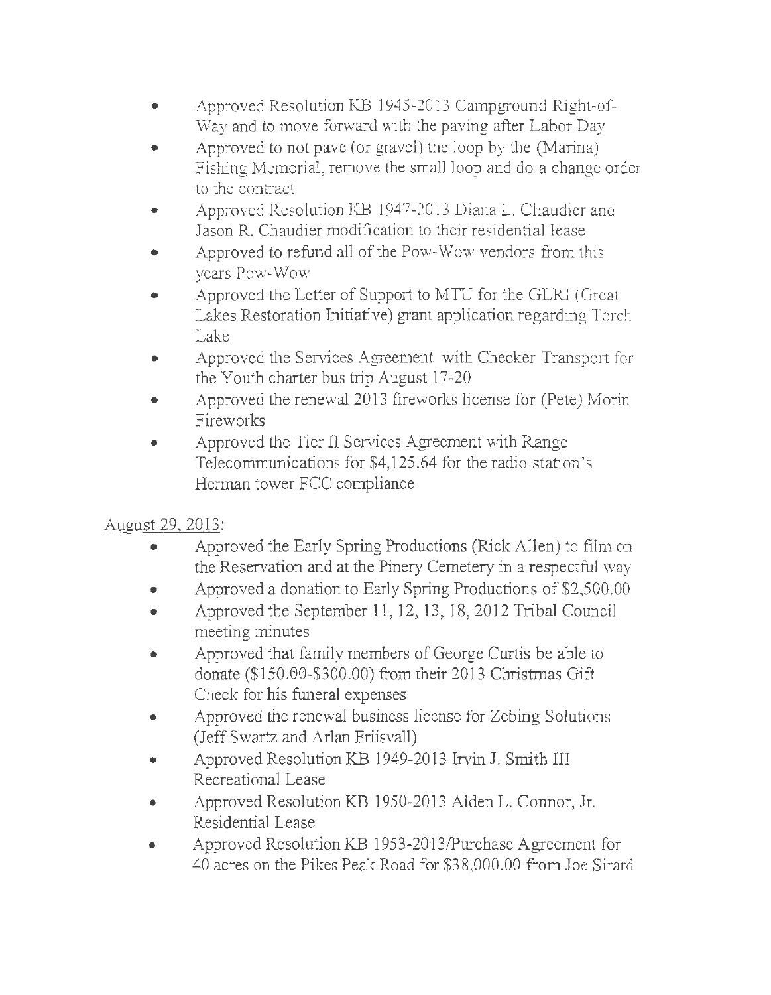- Approved Resolution KB 1945-2013 Campground Right-of-Way and to move forward with the paving after Labor Day
- Approved to not pave (or gravel) the loop by the (Marina) Fishing Memorial, remove the small loop and do a change order to the contract
- Approved Resolution KB 1947-2013 Diana L. Chaudier and Jason R. Chaudier modification to their residential lease
- Approved to refund all of the Pow-Wow vendors from this years Pow-Wow
- Approved the Letter of Support to MTU for the GLRJ (Great Lakes Restoration Initiative) grant application regarding Torch Lake
- Approved the Services Agreement with Checker Transport for the Youth charter bus trip August 17-20
- Approved the renewal 2013 fireworks license for (Pete) Morin Fireworks
- Approved the Tier II Services Agreement with Range Telecommunications for \$4, 125.64 for the radio station 's Herman tower FCC compliance

# August 29, 2013:

- Approved the Early Spring Productions (Rick Allen) to film on the Reservation and at the Pinery Cemetery in a respectful way
- Approved a donation to Early Spring Productions of \$2,500.00
- Approved the September 11 , 12, 13, 18, 2012 Tribal Council meeting minutes
- Approved that family members of George Curtis be able to donate (\$150.00-\$300.00) from their 2013 Christmas Gift Check for his funeral expenses
- Approved the renewal business license for Zebing Solutions (Jeff Swartz and Arlan Friisvall)
- Approved Resolution KB 1949-2013 Irvin J. Smith III Recreational Lease
- Approved Resolution KB 1950-2013 Alden L. Connor, Jr. Residential Lease
- Approved Resolution KB 1953-2013/Purchase Agreement for 40 acres on the Pikes Peak Road for \$38,000.00 from Joe Sirard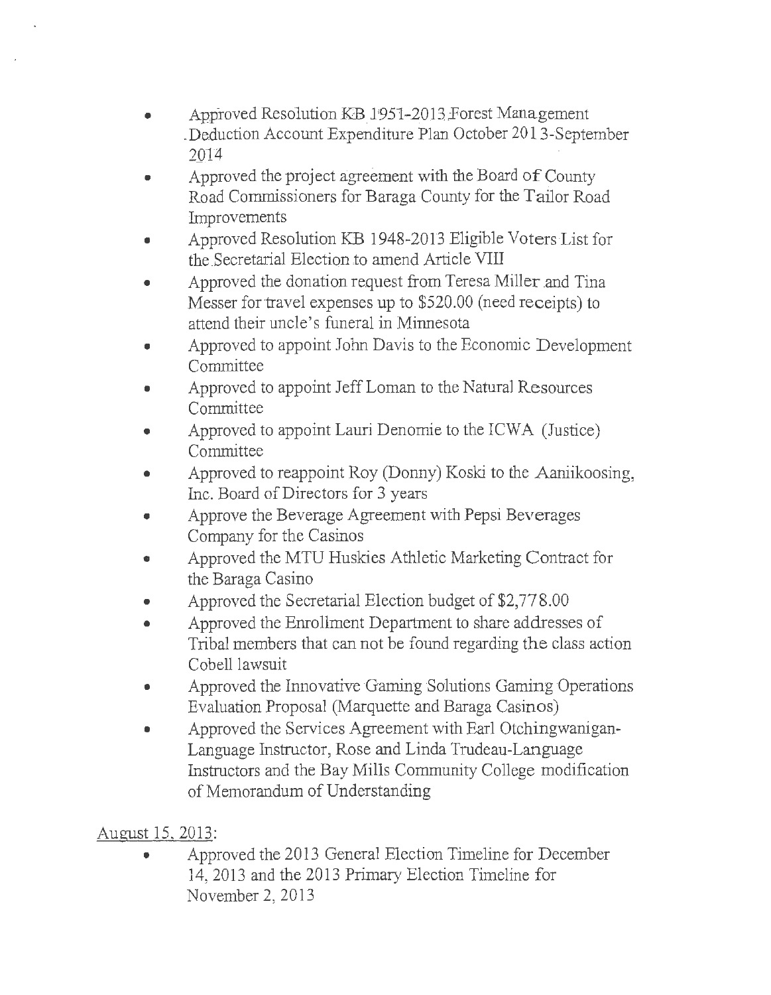- Approved Resolution KB 1951-2013 Forest Management . Deduction Account Expenditure Plan October 2013-September 2\_QJ'4
- Approved the project agreement with the Board of County Road Commissioners for Baraga County for the Tailor Road **Improvements**
- Approved Resolution KB 1948-2013 Eligible Voters List for the Secretarial Election to amend Article VIII
- Approved the donation request from Teresa Miller and Tina Messer for travel expenses up to \$520.00 (need receipts) to attend their uncle's funeral in Minnesota
- Approved to appoint John Davis to the Economic Development **Committee**
- Approved to appoint Jeff Loman to the Natural Resources Committee
- Approved to appoint Lauri Denomie to the ICWA (Justice) Committee
- Approved to reappoint Roy (Donny) Koski to the Aaniikoosing, Inc. Board of Directors for 3 years
- Approve the Beverage Agreement with Pepsi Beverages Company for the Casinos
- Approved the MTU Huskies Athletic Marketing Contract for the Baraga Casino
- Approved the Secretarial Election budget of \$2,778.00
- Approved the Enrollment Department to share addresses of Tribal members that can not be found regarding the class action Cobell lawsuit
- Approved the Innovative Gaming Solutions Gaming Operations Evaluation Proposal (Marquette and Baraga Casinos)
- Approved the Services Agreement with Earl Otchingwanigan-Language Instructor, Rose and Linda Trudeau-Language Instructors and the Bay Mills Community College modification of Memorandum of Understanding

# August 15, 2013:

• Approved the 2013 General Election Timeline for December 14, 2013 and the 2013 Primary Election Timeline for November 2, 2013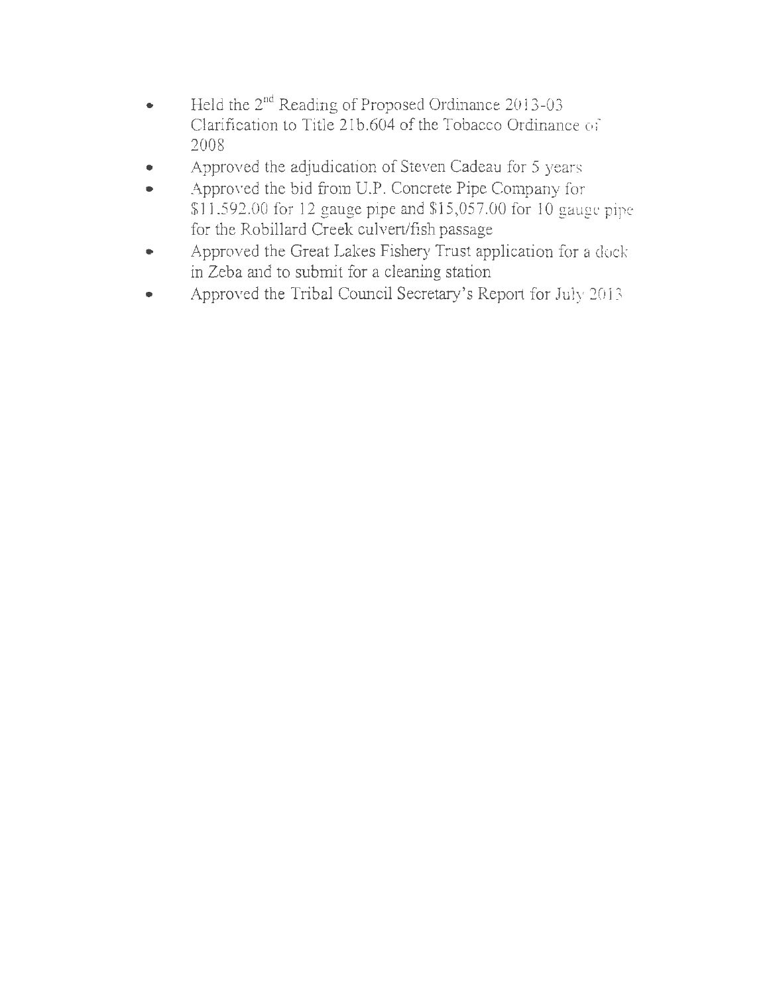- Held the 2<sup>nd</sup> Reading of Proposed Ordinance 2013-03 Clarification to Title 21b.604 of the Tobacco Ordinance of 2008
- Approved the adjudication of Steven Cadeau for 5 years
- Approved the bid from U.P. Concrete Pipe Company for \$11,592.00 for 12 gauge pipe and \$15,057.00 for 10 gauge pipe for the Robillard Creek culvert/fish passage
- Approved the Great Lakes Fishery Trust application for a dock in Zeba and to submit for a cleaning station
- Approved the Tribal Council Secretary's Report for July 2013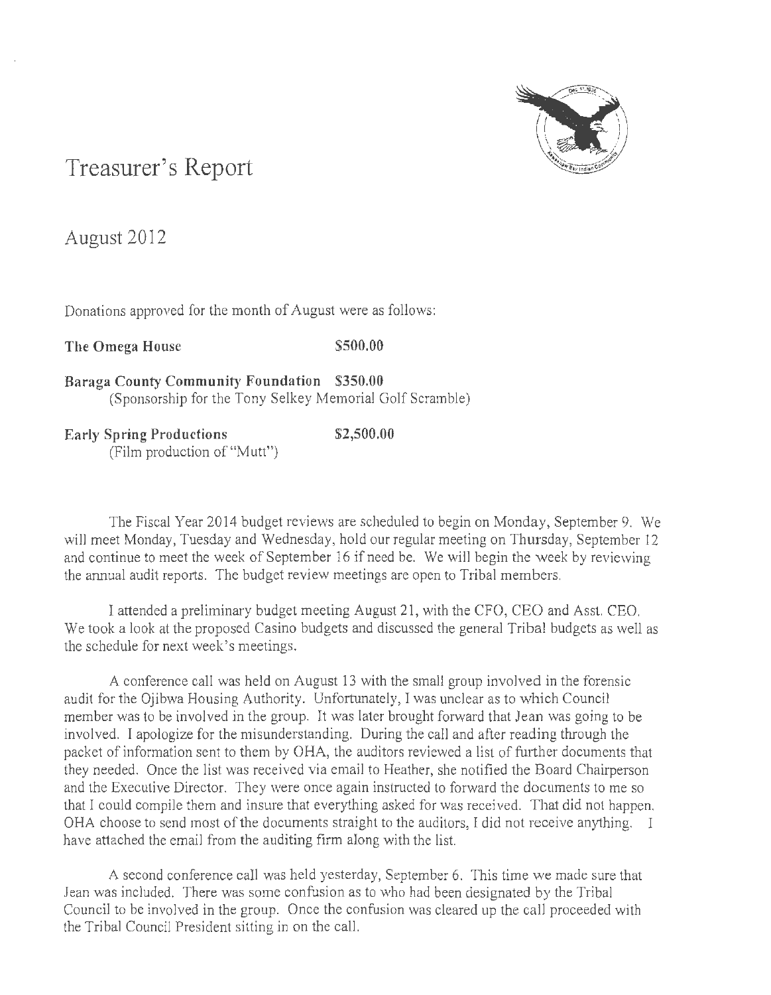

# **Treasurer's Report**

August 2012

Donations approved for the month of August were as follows:

The Omega House \$500.00

**Baraga County Community Foundation \$350.00**  (Sponsorship for the Tony Selkey Memorial Golf Scramble)

**Early Spring Productions** \$2,500.00 (Film production of "Mutt")

The Fiscal Year 2014 budget reviews are scheduled to begin on Monday, September 9. We will meet Monday, Tuesday and Wednesday, hold our regular meeting on Thursday, September 12 and continue to meet the week of September 16 if need be. We will begin the week by reviewing the annual audit reports. The budget review meetings are open to Tribal members.

I attended a preliminary budget meeting August 21, with the CFO, CEO and Asst. CEO. We took a look at the proposed Casino budgets and discussed the general Tribal budgets as well as the schedule for next week's meetings.

A conference call was held on August 13 with the small group involved in the forensic audit for the Ojibwa Housing Authority. Unfortunately, I was unclear as to which Council member was to be involved in the group. It was later brought forward that Jean was going to be involved. I apologize for the misunderstanding. During the call and after reading through the packet of information sent to them by OHA, the auditors reviewed a list of further documents that they needed. Once the list was received via email to Heather, she notified the Board Chairperson and the Executive Director. They were once again instructed to forward the documents to me so that I could compile them and insure that everything asked for was received. That did not happen. OHA choose to send most of the documents straight to the auditors, I did not receive anything. *1*  have attached the email from the auditing firm along with the list.

A second conference call was held yesterday, September 6. This time we made sure that Jean was included. There was some confusion as to who had been designated by the Tribal Council to be involved in the group. Once the confusion was cleared up the call proceeded with the Tribal Council President sitting in on the call.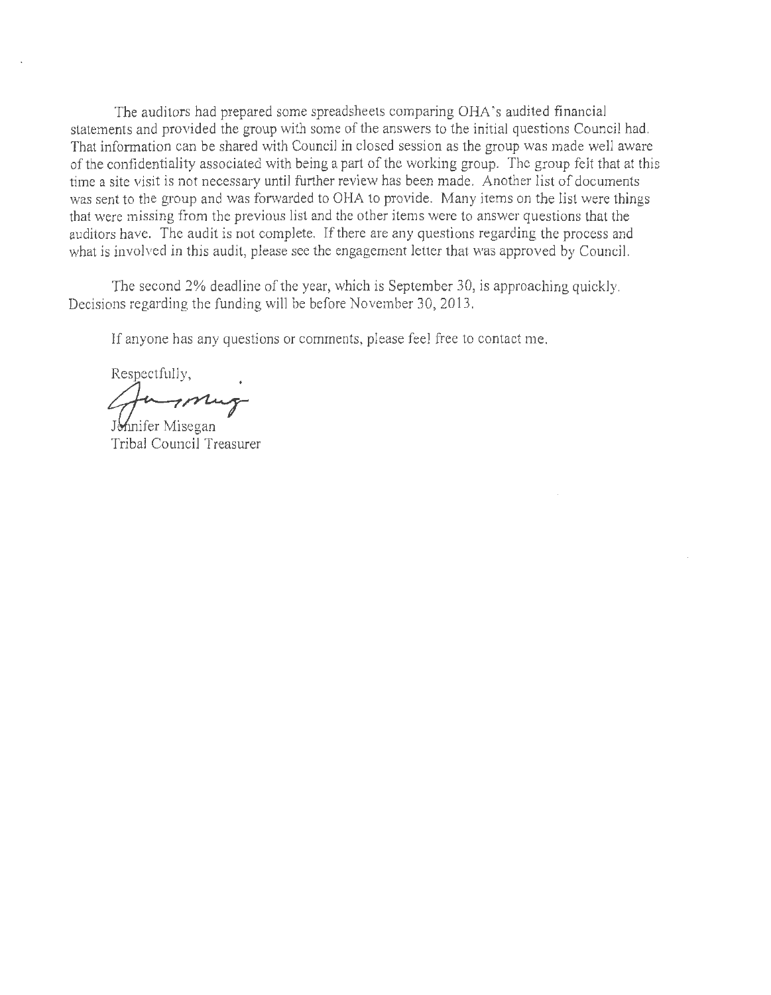The auditors had prepared some spreadsheets comparing OHA 's audited financial statements and provided the group with some of the answers to the initial questions Council had. That information can be shared with Council in closed session as the group was made well aware of the confidentiality associated with being a part of the working group. The group felt that at this time a site visit is not necessary until further review has been made. Another list of documents was sent to the group and was forwarded to OHA to provide. Many items on the list were things that were missing from the previous list and the other items were to answer questions that the auditors have. The audit is not complete. If there are any questions regarding the process and what is involved *in* this audit, please see the engagement letter that was approved by Council.

The second 2% deadline of the year, which is September 30, is approaching quickly. Decisions regarding the funding will be before November 30, 2013.

If anyone has any questions or comments, please feel free to contact me.

Respectfully, Jennifer Misegan

Tribal Council Treasurer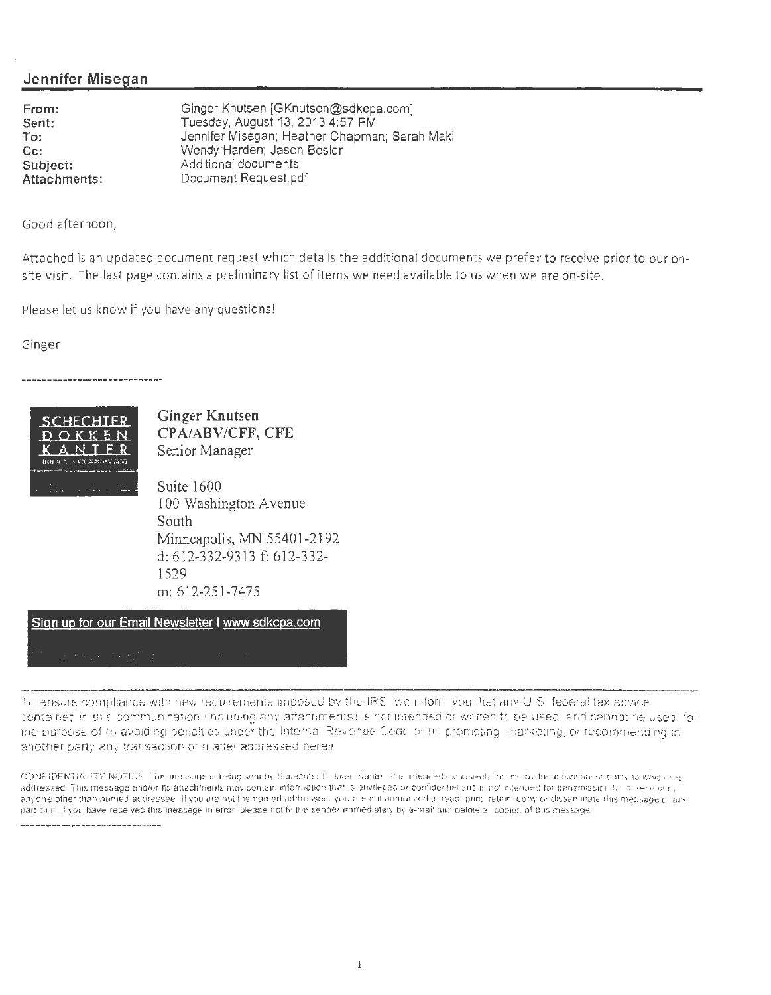### **Jennifer Misegan**

**From: Sent: To: Cc: Subject: Attachments :** 

Ginger Knutsen [GKnutsen@sdkcpa.com] Tuesday, August 13, 2013 4:57 PM Jennifer Misegan; Heather Chapman; Sarah Maki Wendy-Harden; Jason Besler Additional documents Document Request.pdf

Good afternoon,

Attached is an updated document request which details the additional documents we prefer to receive prior to our onsite visit. The last page contains a preliminary list of items we need available to us when we are on-site.

Please let us know if you have any questions!

Ginger

\_\_\_\_\_\_\_\_\_\_\_\_\_\_\_\_\_\_\_\_\_\_\_\_



**Ginger Knutsen CPA/ABV/CFF, CFE**  Senior Manager

Suite 1600 100 Washington A venue South Minneapolis, MN 55401-2192 d: 612-332-9313 f: 612-332- 1529 m: 612-25 1-7475

**Sign up for our Email Newsletter I www.sdkcpa.com** 

To ensure compliance with new requirements imposed by the IRS we inform you that any U S federal tax advice sontained in this communication (including any attachments) is nor intended or written to be used and cannot be used for the purpose of (i) avoiding penalties under the Internal Revenue Coge or (ii) promoting imarketing or recommending to another party any transaction or matter addressed herein

CONFIDENTIALITY NOTICE. This message is being sent by Schechter Dokwer. Kante, it is intended exclusively for use by the individual or entity to which it is addressed. This message and/or its attachments may contain mformation that is privileged or confidential and is not retented for transmission. It is research, anyone other than named addressee. If you are not the named addressee, you are not authorized to read, prm; retain copy or disseminate this message or any part of it. If you have received this message in error please notify the sender immediately by e-mail and detete all copies, of this message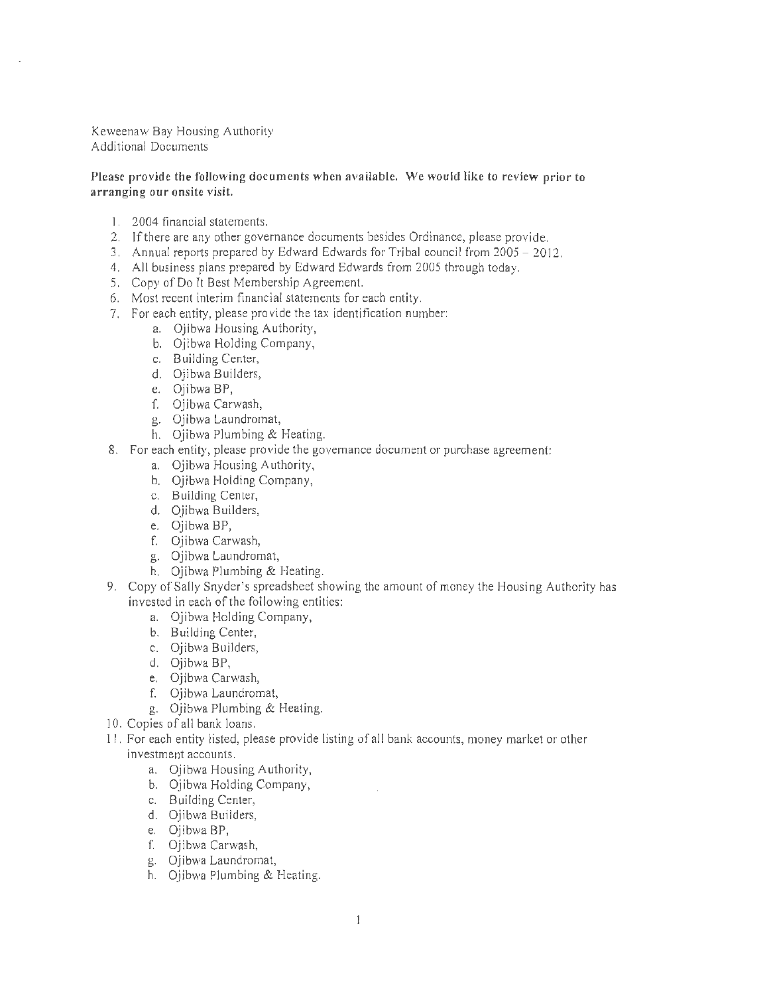Keweenaw Bay Housing Authority Additional Documents

#### Please provide the following documents when available. We would like to review prior to arranging our onsite visit.

- I . 2004 financial statements.
- 2. If there are any other governance documents besides Ordinance, please provide.
- 3. Annual reports prepared by Edward Edwards for Tribal council from 2005 2012.
- 4. All business plans prepared by Edward Edwards from 2005 through today.
- 5. Copy of Do It Best Membership Agreement.
- 6. Most recent interim financial statements for each entity.
- 7. For each entity, please provide the tax identification number:
	- a. Ojibwa Housing Authority,
		- b. Ojibwa Holding Company,
		- c. Building Center,
		- d. Ojibwa Builders,
		- e. Ojibwa BP,
		- f. Ojibwa Carwash,
		- g. Ojibwa Laundromat,
		- h. Ojibwa Plumbing & Heating.
- 8. For each entity, please provide the governance document or purchase agreement:
	- a. Ojibwa Housing Authority,
	- b. Ojibwa Holding Company,
	- c. Building Center,
	- d. Ojibwa Builders,
	- e. Ojibwa BP,
	- f. Ojibwa Carwash,
	- g. Ojibwa Laundromat,
	- h. Ojibwa Plumbing & Heating.
- 9. Copy of Sally Snyder's spreadsheet showing the amount of money the Housing Authority has invested in each of the following entities:
	- a. Ojibwa Holding Company,
	- b. Building Center,
	- c. Ojibwa Builders,
	- d. Ojibwa BP,
	- e. Ojibwa Carwash,
	- f. Ojibwa Laundromat,
	- g. Ojibwa Plumbing & Heating.
- 10. Copies of all bank loans.
- 11 . For each entity listed, please provide listing of all bank accounts, money market or other investment accounts.
	- a. Ojibwa Housing Authority,
	- b. Ojibwa Holding Company,
	- c. Building Center,
	- d. Ojibwa Builders,
	- e. Ojibwa BP,
	- f. Ojibwa Carwash,
	- g. Ojibwa Laundromat,
	- h. Ojibwa Plumbing & Heating.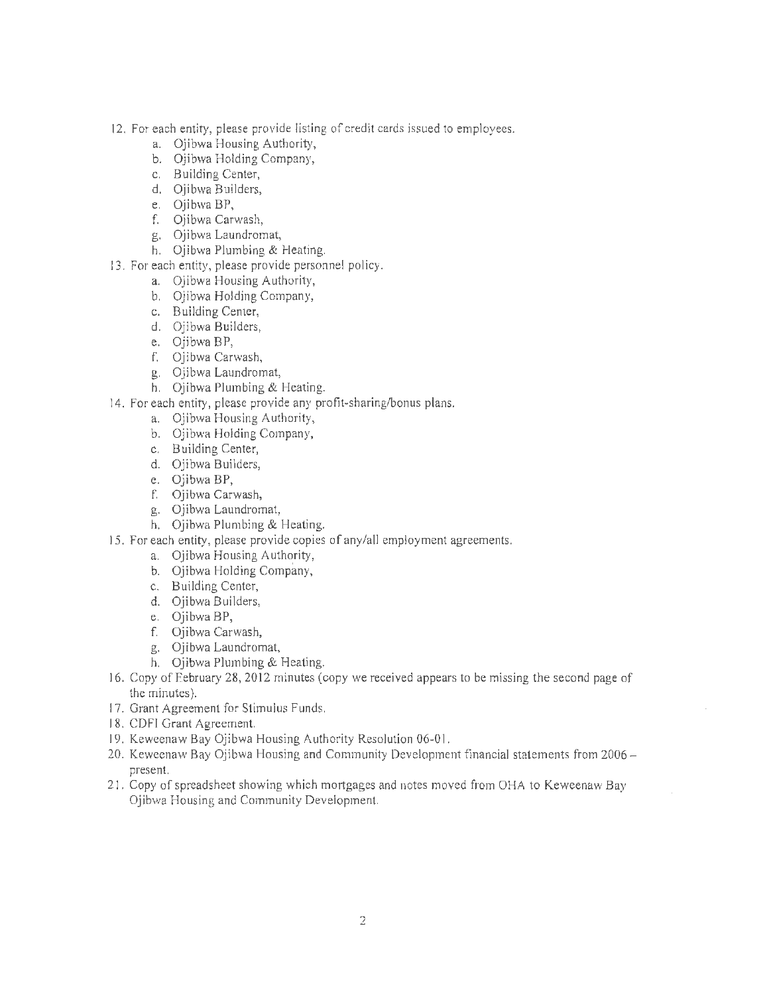- 12. For each entity, please provide listing of credit cards issued to employees.
	- a. Oiibwa Housing Authority,
	- b. Ojibwa Holding Company,
	- c. Building Center,
	- d. Ojibwa Builders,
	- e. Ojibwa BP,
	- f. Ojibwa Carwash,
	- g. Ojibwa Laundromat,
	- h. Ojibwa Plumbing & Heating.
- 13. For each entity, please provide personnel policy.
	- a. Ojibwa Housing Authority,
		- b. Ojibwa Holding Company,
		- c. Building Center,
		- d. Ojibwa Builders,
		- e. Ojibwa BP,
		- f. Ojibwa Carwash,
		- g. Ojibwa Laundromat,
		- h. Ojibwa Plumbing & Heating.
- 14. For each entity, please provide any profit-sharing/bonus plans.
	- a. Ojibwa Housing Authority,
	- b. Ojibwa Holding Company,
	- c. Building Center,
	- d. Ojibwa Builders,
	- e. Ojibwa BP,
	- f. Ojibwa Carwash,
	- g. Ojibwa Laundromat,
	- h. Ojibwa Plumbing & Heating.
- 15. For each entity, please provide copies of any/all employment agreements.
	- a. Ojibwa Housing Authority,
	- b. Ojibwa Holding Company,
	- c. Building Center,
	- d. Ojibwa Builders,
	- e. Ojibwa BP,
	- f. Ojibwa Carwash,
	- g. Ojibwa Laundromat,
	- h. Ojibwa Plumbing & Heating.
- 16. Copy of February 28, 2012 minutes (copy we received appears to be missing the second page of the minutes).
- 17. Grant Agreement for Stimulus Funds.
- 18. CDFI Grant Agreement.
- 19. Keweenaw Bay Ojibwa Housing Authority Resolution 06-01.
- 20. Keweenaw Bay Ojibwa Housing and Community Development financial statements from 2006 present.
- 21. Copy of spreadsheet showing which mortgages and notes moved from OHA to Keweenaw Bay Ojibwa Housing and Community Development.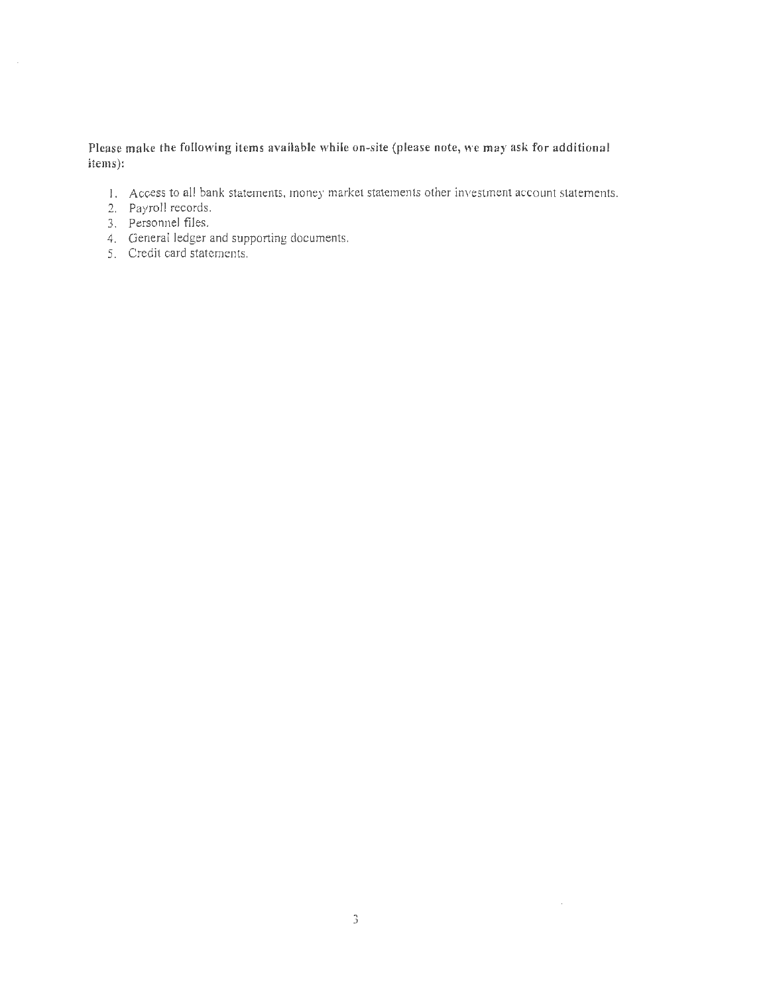Please make the following items available while on-site (please note, we may ask for additional items):

- I. Access to all bank statements, money market statements other investment account statements.
- 2. Payroll records.
- 3. Personnel flies.
- 4. General ledger and supporting documents.
- 5. Credit card statements.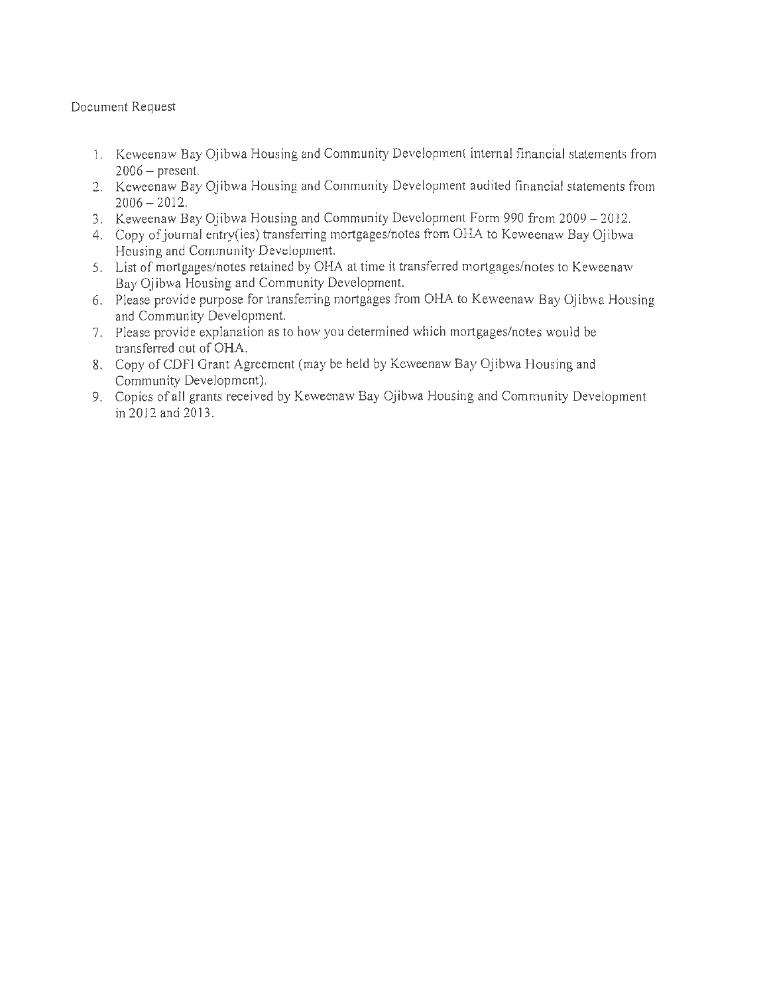### Document Request

- 1. Keweenaw Bay Ojibwa Housing and Community Development internal financial statements from  $2006 -$  present.
- 2. Keweenaw Bay Ojibwa Housing and Community Development audited financial statements from  $2006 - 2012$ .
- 3. Keweenaw Bay Ojibwa Housing and Community Development Form 990 from 2009 2012.
- 4. Copy of journal entry(ies) transferring mortgages/notes from OHA to Keweenaw Bay Ojibwa Housing and Community Development.
- 5. List of mortgages/notes retained by OHA at time it transferred mortgages/notes to Keweenaw Bay Ojibwa Housing and Community Development.
- 6. Please provide purpose for transferring mortgages from OHA to Keweenaw Bay Ojibwa Housing and Community Development.
- 7. Please provide explanation as to how you determined which mortgages/notes would be transferred out of OHA.
- 8. Copy of CDFI Grant Agreement (may be held by Keweenaw Bay Ojibwa Housing and Community Development).
- 9. Copies of all grants received by Keweenaw Bay Ojibwa Housing and Community Development in 2012 and 2013.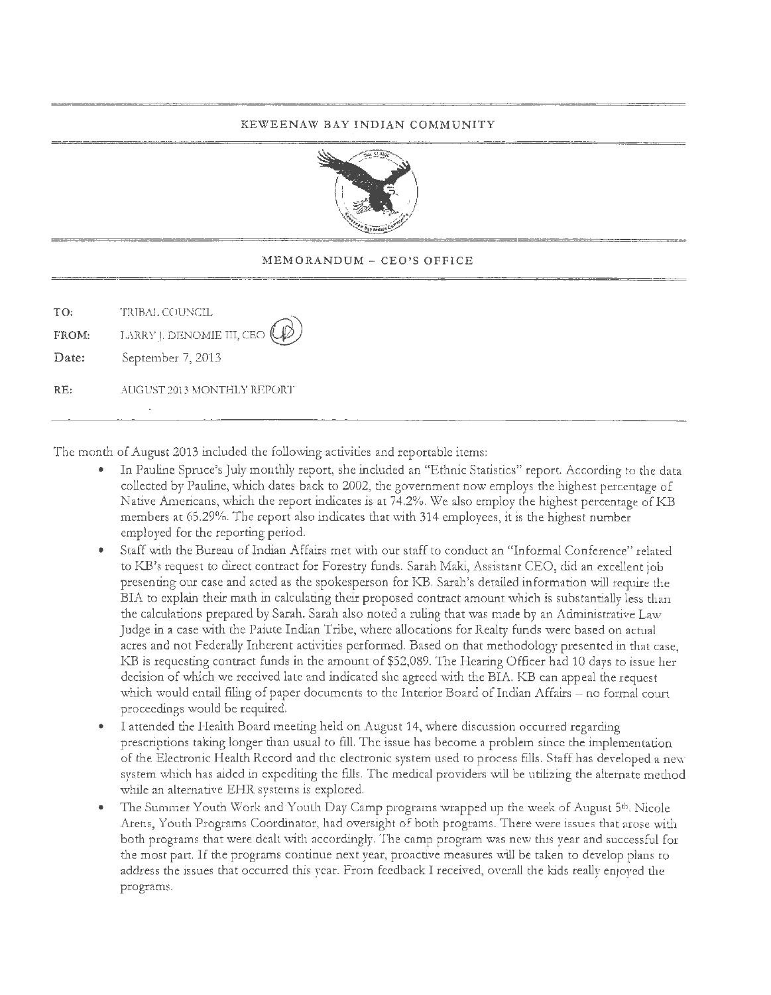#### KEWEENAW BAY INDIAN COMMUNITY



#### MEMORANDUM - CEO'S OFFICE

| TO:   | 'FRIBAL COUNCIL                       |  |
|-------|---------------------------------------|--|
| FROM: | LARRY J. DENOMIE III, CEO $(\varphi)$ |  |
| Date: | September 7, 2013                     |  |
| RF    | AUGUST 2013 MONTHLY REPORT            |  |

The month of August 2013 included the following activities and reportable items:

- In Pauline Spruce's July monthly report, she included an "Ethnic Statistics" report. According to the data collected by Pauline, which dates back to 2002, the government now employs the highest percentage of Native Americans, which the report indicates is at 74.2%. We also employ the highest percentage of KB members at 65.29%. The report also indicates that with 314 employees, it is the highest number employed for the reporting period.
- Staff with the Bureau of Indian Affairs met with our staff to conduct an "Informal Conference" related to KB's request to direct contract for Forestry funds. Sarah Maki, Assistant CEO, did an excellent job presenting our case and acted as the spokesperson for KB. Sarah's detailed information will require the BIA to explain their math in calculating their proposed contract amount which is substantially less than the calculations prepared by Sarah. Sarah also noted a ruling that was made by an Administrative Law Judge in a case with the Paiute Indian Tribe, where allocations for Realty funds were based on actual acres and not Federally Inherent activities performed. Based on that methodology presented in that case, KB is requesting contract funds in the amount of \$52,089. The Hearing Officer had 10 days to issue her decision of which we received late and indicated she agreed with the BIA. KB can appeal the request which would entail filing of paper documents to the Interior Board of Indian Affairs – no formal court proceedings would be required.
- I attended the Health Board meeting held on August 14, where discussion occurred regarding prescriptions taking longer than usual to fill. The issue has become a problem since the implementation of the Electronic Health Record and the electronic system used to process fills. Staff has developed a new system which has aided in expediting the fills. The medical providers will be utilizing the alternate method while an alternative EHR systems is explored.
- The Summer Youth Work and Youth Day Camp programs wrapped up the week of August 5th, Nicole Arens, Youth Programs Coordinator, had oversight of both programs. There were issues that arose with both programs that were dealt with accordingly. The camp program was new this year and successful for the most part. If the programs continue next year, proactive measures will be taken to develop plans to address the issues that occurred this year. From feedback I received, overall the kids really enjoyed the programs.